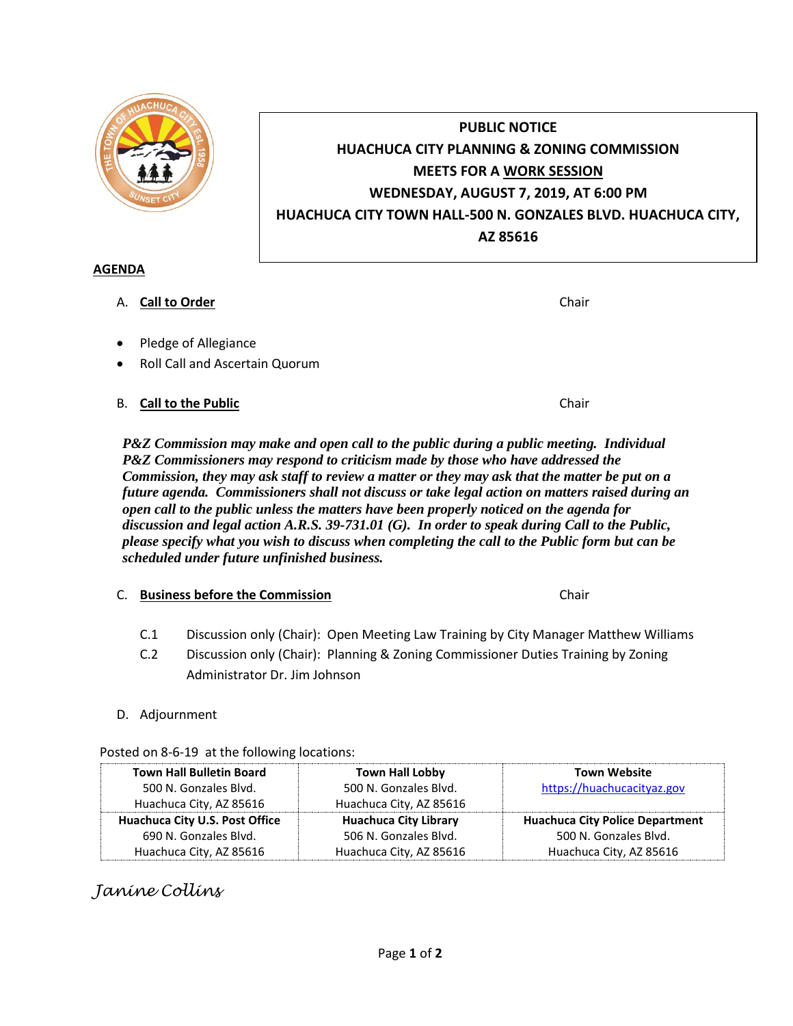

# **PUBLIC NOTICE HUACHUCA CITY PLANNING & ZONING COMMISSION MEETS FOR A WORK SESSION WEDNESDAY, AUGUST 7, 2019, AT 6:00 PM HUACHUCA CITY TOWN HALL-500 N. GONZALES BLVD. HUACHUCA CITY, AZ 85616**

### **AGENDA**

- A. **Call to Order Chair Chair Chair Chair Chair Chair**
- Pledge of Allegiance
- Roll Call and Ascertain Quorum
- B. **Call to the Public Chair Chair Chair Chair Chair**

*P&Z Commission may make and open call to the public during a public meeting. Individual P&Z Commissioners may respond to criticism made by those who have addressed the Commission, they may ask staff to review a matter or they may ask that the matter be put on a future agenda. Commissioners shall not discuss or take legal action on matters raised during an open call to the public unless the matters have been properly noticed on the agenda for discussion and legal action A.R.S. 39-731.01 (G). In order to speak during Call to the Public, please specify what you wish to discuss when completing the call to the Public form but can be scheduled under future unfinished business.*

- C. **Business before the Commission** Chair
	- C.1 Discussion only (Chair): Open Meeting Law Training by City Manager Matthew Williams
	- C.2 Discussion only (Chair): Planning & Zoning Commissioner Duties Training by Zoning Administrator Dr. Jim Johnson

#### D. Adjournment

#### Posted on 8-6-19 at the following locations:

| <b>Town Hall Bulletin Board</b> | <b>Town Hall Lobby</b>       | <b>Town Website</b>                    |
|---------------------------------|------------------------------|----------------------------------------|
| 500 N. Gonzales Blvd.           | 500 N. Gonzales Blvd.        | https://huachucacityaz.gov             |
| Huachuca City, AZ 85616         | Huachuca City, AZ 85616      |                                        |
| Huachuca City U.S. Post Office  | <b>Huachuca City Library</b> | <b>Huachuca City Police Department</b> |
| 690 N. Gonzales Blvd.           | 506 N. Gonzales Blvd.        | 500 N. Gonzales Blvd.                  |
| Huachuca City, AZ 85616         | Huachuca City, AZ 85616      | Huachuca City, AZ 85616                |

## *Janine Collins*